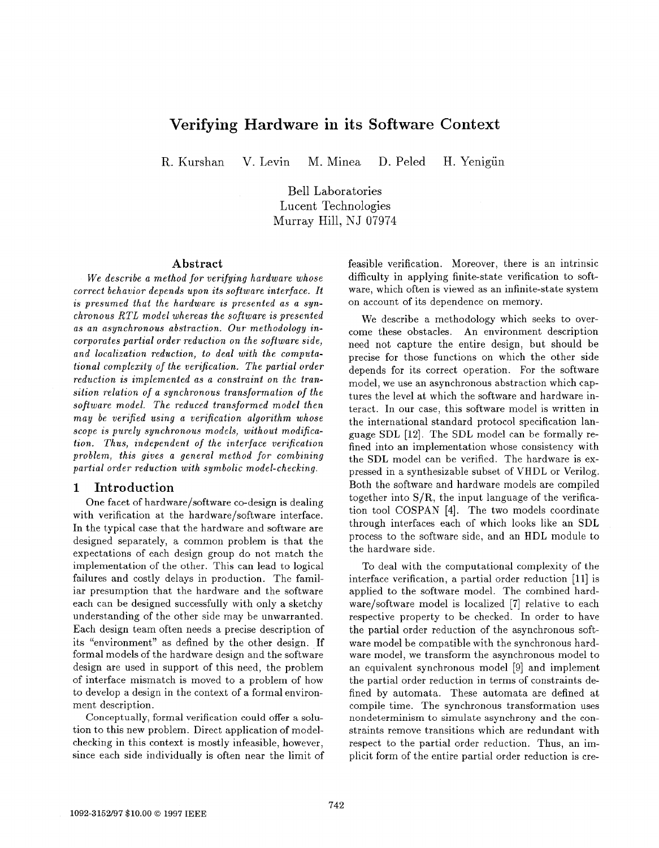# Verifying Hardware in its Software Context

R. Kurshan V. Levin M. Minea D. Peled H. Yenigiin

Bell Laboratories Lucent Technologies Murray Hill, NJ 07974

#### **Abstract**

*We describe a method for verifying hardware whose correct behavior depends upon its software interface. It is presumed that the hardware is presented as a synchronous RTL model whereas the software is presented as an asynchronous abstraction. Our methodology incorporates partial order reduction on the software side, and localization reduction, to deal with the computational complexity of the verification. The partial order reduction is implemented as a constraint on the transition relation* of *a synchronous transformation* of *the software model. The reduced transformed model then may be verified using a verification algorithm whose scope is purely synchronous models, without modification. Thus, independent* of *the interface verification problem, this gives a general method for combining partial order reduction with symbolic model-checking.* 

#### **1** Introduction

One facet of hardware/software co-design is dealing with verification at the hardware/software interface. In the typical case that the hardware and software are designed separately, a common problem is that the expectations of each design group do not match the implementation of the other. This can lead to logical failures and costly delays in production. The familiar presumption that the hardware and the software each can be designed successfully with only a sketchy understanding of the other side may be unwarranted. Each design team often needs a precise description of its "environment" as defined by the other design. If formal models of the hardware design and the software design are used in support of this need, the problem of interface mismatch is moved to a problem of how to develop a design in the context of a formal environment description.

Conceptually, formal verification could offer a solution to this new problem. Direct application of modelchecking in this context is mostly infeasible, however, since each side individually is often near the limit of feasible verification. Moreover, there is an intrinsic difficulty in applying finite-state verification to software, which often is viewed as an infinite-state system on account of its dependence on memory.

We describe a methodology which seeks to overcome these obstacles. An environment description need not capture the entire design, but should be precise for those functions on which the other side depends for its correct operation. For the software model, we use an asynchronous abstraction which captures the level at which the software and hardware interact. In our case, this software model is written in the international standard protocol specification language SDL  $[12]$ . The SDL model can be formally refined into an implementation whose consistency with the SDL model can be verified. The hardware is expressed in a synthesizable subset of VHDL or Verilog. Both the software and hardware models are compiled together into  $S/R$ , the input language of the verification tool COSPAN [4]. The two models coordinate through interfaces each of which looks like an SDL process to the software side, and an HDL module to the hardware side.

To deal with the computational complexity of the interface verification, a partial order reduction [11] is applied to the software model. The combined hardware/software model is localized [7] relative to each respective property to be checked. In order to have the partial order reduction of the asynchronous software model be compatible with the synchronous hardware model, we transform the asynchronous model to an equivalent synchronous model [9] and implement the partial order reduction in terms of constraints defined by automata. These automata are defined at compile time. The synchronous transformation uses nondeterminism to simulate asynchrony and the constraints remove transitions which are redundant with respect to the partial order reduction. Thus, an implicit form of the entire partial order reduction is cre-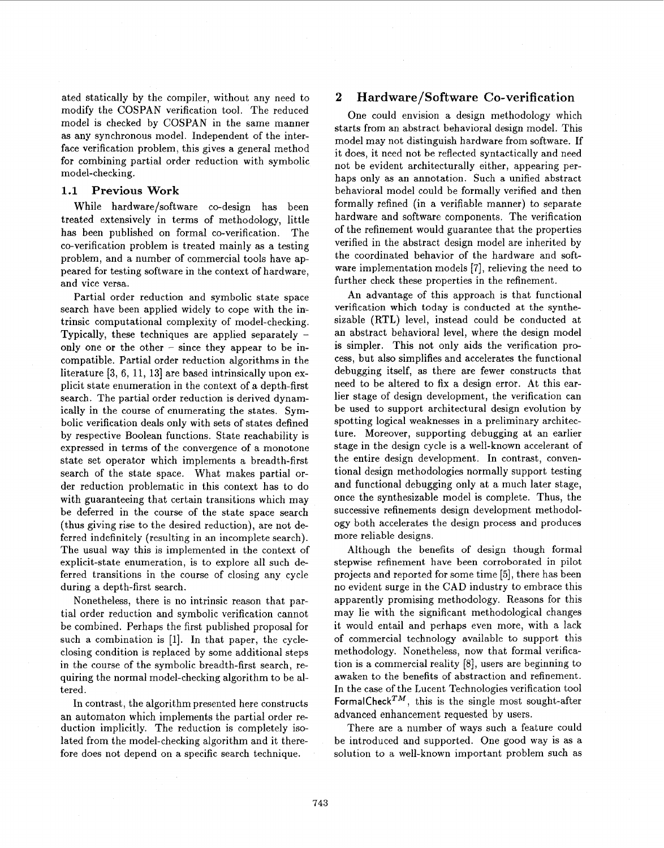ated statically by the compiler, without any need to modify the COSPAN verification tool. The reduced model is checked by COSPAN in the same manner **as** any synchronous model. Independent of the interface verification problem, this gives a general method for combining partial order reduction with symbolic model-checking .

#### **1.1 Previous Work**

While hardware/software co-design has been treated extensively in terms of methodology, little has been published on formal co-verification. The co-verification problem is treated mainly as a testing problem, and a number of commercial tools have appeared for testing software in the context of hardware, and vice versa.

Partial order reduction and symbolic state space search have been applied widely to cope with the intrinsic computational complexity of model-checking. Typically, these techniques are applied separately only one or the other  $-$  since they appear to be incompatible. Partial order reduction algorithms in the literature **[3,** 6, 11, **131** are based intrinsically upon explicit state enumeration in the context of a depth-first search. The partial order reduction is derived dynamically in the course of enumerating the states. Symbolic verification deals only with sets of states defined by respective Boolean functions. State reachability is expressed in terms of the convergence of a monotone state set operator which implements a breadth-first search of the state space. What makes partial order reduction problematic in this context has to do with guaranteeing that certain transitions which may be deferred in the course of the state space search (thus giving rise to the desired reduction), are not deferred indefinitely (resulting in an incomplete search). The usual way this is implemented in the context of explicit-state enumeration, is to explore all such deferred transitions in the course of closing any cycle during a depth-first search.

Nonetheless, there is no intrinsic reason that partial order reduction and symbolic verification cannot be combined. Perhaps the first published proposal for such a combination is [l]. In that paper, the cycleclosing condition is replaced by some additional steps in the course of the symbolic breadth-first search, requiring the normal model-checking algorithm to be altered.

In contrast, the algorithm presented here constructs an automaton which implements the partial order reduction implicitly. The reduction is completely isolated from the model-checking algorithm and it therefore does not depend on a specific search technique.

# **2 Hardware/Software Co-verification**

One could envision a design methodology which starts from an abstract behavioral design model. This model may not distinguish hardware from software. If it does, it need not be reflected syntactically and need not be evident architecturally either, appearing perhaps only as an annotation. Such a unified abstract behavioral model could be formally verified and then formally refined (in a verifiable manner) to separate hardware and software components. The verification of the refinement would guarantee that the properties verified in the abstract design model are inherited by the coordinated behavior of the hardware and software implementation models [7], relieving the need to further check these properties in the refinement.

An advantage of this approach is that functional verification which today is conducted at the synthesizable (RTL) level, instead could be conducted at an abstract behavioral level, where the design model is simpler. This not only aids the verification process, but also simplifies and accelerates the functional debugging itself, as there are fewer constructs that need to be altered to fix a design error. At this earlier stage of design development, the verification can be used to support architectural design evolution by spotting logical weaknesses in a preliminary architecture. Moreover, supporting debugging at an earlier stage in the design cycle is a well-known accelerant of the entire design development. In contrast, conventional design methodologies normally support testing and functional debugging only at a much later stage, once the synthesizable model is complete. Thus, the successive refinements design development methodology both accelerates the design process and produces more reliable designs.

Although the benefits of design though formal stepwise refinement have been corroborated in pilot projects and reported for some time [5], there has been no evident surge in the **CAD** industry to embrace this apparently promising methodology. Reasons for this may lie with the significant methodological changes it would entail and perhaps even more, with a lack of commercial technology available to support this methodology. Nonetheless, now that formal verification is a commercial reality [8], users are beginning to awaken to the benefits of abstraction and refinement. In the case of the Lucent Technologies verification tool FormalCheck<sup>TM</sup>, this is the single most sought-after advanced enhancement requested by users.

There are a number of ways such a feature could be introduced and supported. One good way is as a solution to a well-known important problem such as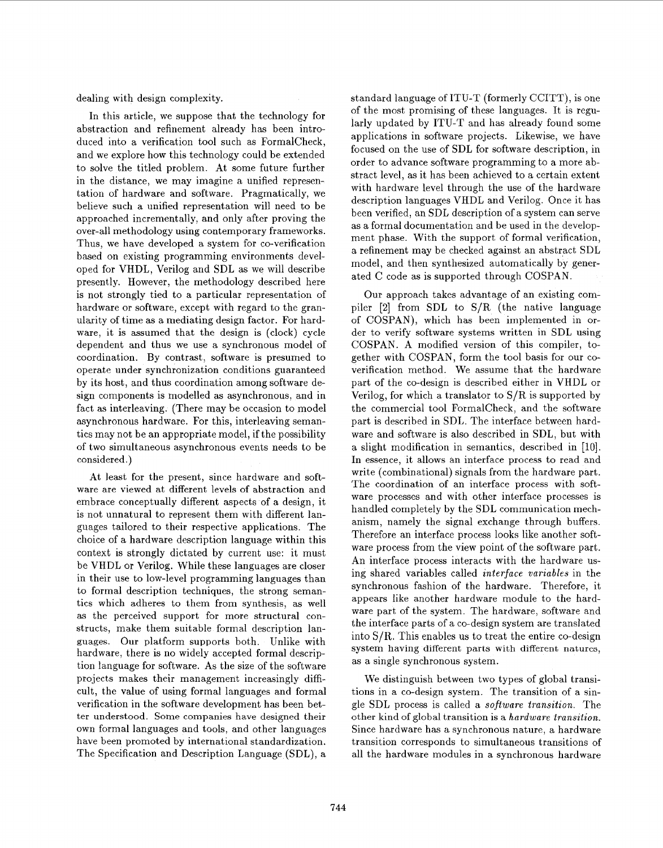dealing with design complexity.

In this article, we suppose that the technology for abstraction and refinement already has been introduced into a verification tool such as FormalCheck, and we explore how this technology could be extended to solve the titled problem. At some future further in the distance, we may imagine a unified representation of hardware and software. Pragmatically, we believe such a unified representation will need to be approached incrementally, and only after proving the over-all methodology using contemporary frameworks. Thus, we have developed a system for co-verification based on existing programming environments developed for VHDL, Verilog and SDL as we will describe presently. However, the methodology described here is not strongly tied to a particular representation of hardware or software, except with regard to the granularity of time as a mediating design factor. For hardware, it is assumed that the design is (clock) cycle dependent and thus we use a synchronous model of coordination. By contrast, software is presumed to operate under synchronization conditions guaranteed by its host, and thus coordination among software design components is modelled as asynchronous, and in fact as interleaving. (There may be occasion to model asynchronous hardware. For this, interleaving semantics may not be an appropriate model, if the possibility of two simultaneous asynchronous events needs to be considered.)

At least for the present, since hardware and software are viewed at different levels of abstraction and embrace conceptually different aspects of a design, it is not unnatural to represent them with different languages tailored to their respective applications. The choice of a hardware description language within this context is strongly dictated by current use: it must be VHDL or Verilog. While these languages are closer in their use to low-level programming languages than to formal description techniques, the strong semantics which adheres to them from synthesis, as well as the perceived support for more structural constructs, make them suitable formal description languages. Our platform supports both. Unlike with hardware, there is no widely accepted formal description language for software. As the size of the software projects makes their management increasingly difficult, the value of using formal languages and formal verification in the software development has been better understood. Some companies have designed their own formal languages and tools, and other languages have been promoted by international standardization. The Specification and Description Language (SDL), a

standard language of ITU-T (formerly CCITT), is one of the most promising of these languages. It is regularly updated by ITU-T and has already found some applications in software projects. Likewise, we have focused on the use of SDL for software description, in order to advance software programming to a more abstract level, as it has been achieved to a certain extent with hardware level through the use of the hardware description languages VHDL and Verilog. Once it has been verified, an SDL description of a system can serve as a formal documentation and be used in the development phase. With the support of formal verification, a refinement may be checked against an abstract SDL model, and then synthesized automatically by generated C code as is supported through COSPAN.

Our approach takes advantage of an existing compiler [2] from SDL to S/R (the native language of COSPAN), which has been implemented in order to verify software systems written in SDL using COSPAN. A modified version of this compiler, together with COSPAN, form the tool basis for our coverification method. We assume that the hardware part of the co-design is described either in VHDL or Verilog, for which a translator to S/R is supported by the commercial tool Formalcheck, and the software part is described in SDL. The interface between hardware and software is also described in SDL, but with a slight modification in semantics, described in [10]. In essence, it allows an interface process to read and write (combinational) signals from the hardware part. The coordination of an interface process with software processes and with other interface processes is handled completely by the SDL communication mechanism, namely the signal exchange through buffers. Therefore an interface process looks like another software process from the view point of the software part. An interface process interacts with the hardware using shared variables called *interface varzables* in the synchronous fashion of the hardware. Therefore, it appears like another hardware module to the hardware part of the system. The hardware, software and the interface parts of a co-design system are translated into S/R. This enables us to treat the entire co-design system having different parts with different natures, as a single synchronous system.

We distinguish between two types of global transitions in a co-design system. The transition of a single SDL process is called a *software transztzon.* The other kind of global transition is a *hardware transztion.*  Since hardware has a synchronous nature, a hardware transition corresponds to simultaneous transitions of all the hardware modules in a synchronous hardware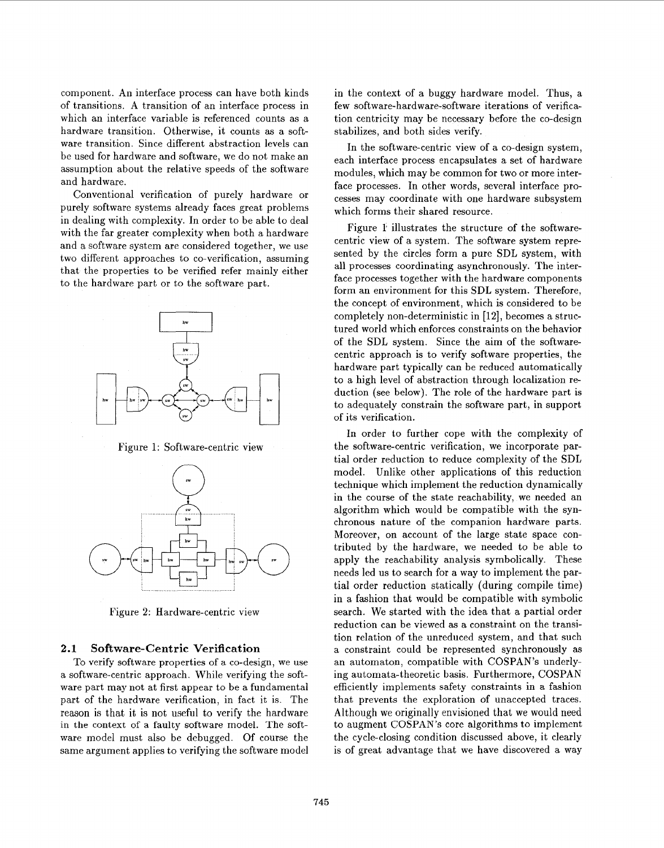component. An interface process can have both kinds of transitions. **A** transition of an interface process in which an interface variable is referenced counts as a hardware transition. Otherwise, it counts as a software transition. Since different abstraction levels can be used for hardware and software, we do not make an assumption about the relative speeds of the software and hardware.

Conventional verification of purely hardware or purely software systems already faces great problems in dealing with complexity. In order to be able to deal with the far greater complexity when both a hardware and a software system are considered together, we use two different approaches to co-verification, assuming that the properties to be verified refer mainly either to the hardware part or to the software part.



Figure 1: Software-centric view



Figure 2: Hardware-centric view

## **2.1 Software-Centric Verification**

To verify software properties of a co-design, we use a software-centric approach. While verifying the software part may not at first appear to be a fundamental part of the hardware verification, in fact it is. The reason is that it is not useful to verify the hardware in the context of a faulty software model. The software model must also be debugged. Of course the same argument applies to verifying the software model

in the context of a buggy hardware model. Thus, a few software-hardware-software iterations of verification centricity may be necessary before the co-design stabilizes, and both sides verify.

In the software-centric view of a co-design system, each interface process encapsulates a set of hardware modules, which may be common for two or more interface processes. In other words, several interface processes may coordinate with one hardware subsystem which forms their shared resource.

Figure  $1$  illustrates the structure of the softwarecentric view of a system. The software system represented by the circles form a pure SDL system, with all processes coordinating asynchronously. The interface processes together with the hardware components form an environment for this SDL system. Therefore, the concept of environment, which is considered to be completely non-deterministic in [12], becomes a structured world which enforces constraints on the behavior of the SDL system. Since the aim of the softwarecentric approach is to verify software properties, the hardware part typically can be reduced automatically to a high level of abstraction through localization reduction (see below). The role of the hardware part is to adequately constrain the software part, in support of its verification.

In order to further cope with the complexity of the software-centric verification, we incorporate partial order reduction to reduce complexity of the SDL model. Unlike other applications of this reduction technique which implement the reduction dynamically in the course of the state reachability, we needed an algorithm which would be compatible with the synchronous nature of the companion hardware parts. Moreover, on account of the large state space contributed by the hardware, we needed to be able to apply the reachability analysis symbolically. These needs led us to search for a way to implement the partial order reduction statically (during compile time) in a fashion that would be compatible with symbolic search. We started with the idea that a partial order reduction can be viewed as a constraint on the transition relation of the unreduced system, and that such a constraint could be represented synchronously as an automaton, compatible with COSPAN's underlying automata-theoretic basis. Furthermore, COSPAN efficiently implements safety constraints in a fashion that prevents the exploration of unaccepted traces. Although we originally envisioned that we would need to augment COSPAN's core algorithms to implement the cycle-closing condition discussed above, it clearly is of great advantage that we have discovered a way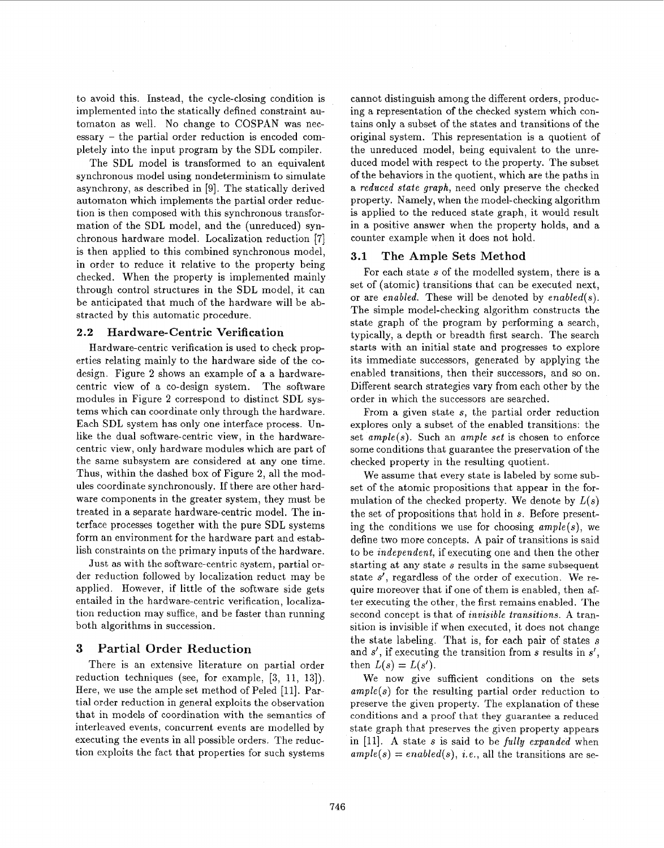to avoid this. Instead, the cycle-closing condition is implemented into the statically defined constraint automaton as well. No change to COSPAN was necessary - the partial order reduction is encoded completely into the input program by the SDL compiler.

The SDL model is transformed to an equivalent synchronous model using nondeterminism to simulate asynchrony, as described in [9]. The statically derived automaton which implements the partial order reduction is then composed with this synchronous transformation of the SDL model, and the (unreduced) synchronous hardware model. Localization reduction [7] is then applied to this combined synchronous model, in order to reduce it relative to the property being checked. When the property is implemented mainly through control structures in the SDL model, it can be anticipated that much of the hardware will be abstracted by this automatic procedure.

#### **2.2 Hardware-Centric Verification**

Hardware-centric verification is used to check properties relating mainly to the hardware side of the codesign. Figure **2** shows an example of a a hardwarecentric view of a co-design system. The software modules in Figure 2 correspond to distinct SDL systems which can coordinate only through the hardware. Each SDL system has only one interface process. Unlike the dual software-centric view, in the hardwarecentric view, only hardware modules which are part of the same subsystem are considered at any one time. Thus, within the dashed box of Figure 2, all the modules coordinate synchronously. If there are other hardware components in the greater system, they must be treated in a separate hardware-centric model. The interface processes together with the pure SDL systems form an environment for the hardware part and establish constraints on the primary inputs of the hardware.

Just as with the software-centric system, partial order reduction followed by localization reduct may be applied. However, if little of the software side gets entailed in the hardware-centric verification, localization reduction may suffice, and be faster than running both algorithms in succession.

## **3 Partial Order Reduction**

There is an extensive literature on partial order reduction techniques (see, for example, **[3,** 11, 131). Here, we use the ample set method of Peled [11]. Partial order reduction in general exploits the observation that in models of coordination with the semantics of interleaved events, concurrent events are modelled by executing the events in all possible orders. The reduction exploits the fact that properties for such systems

cannot distinguish among the different orders, producing a representation of the checked system which contains only a subset of the states and transitions of the original system. This representation is a quotient of the unreduced model, being equivalent to the unreduced model with respect to the property. The subset of the behaviors in the quotient, which are the paths in a *reduced state graph,* need only preserve the checked property. Namely, when the model-checking algorithm is applied to the reduced state graph, it would result in a positive answer when the property holds, and a counter example when it does not hold.

#### **3.1 The Ample Sets Method**

For each state s of the modelled system, there is a set of (atomic) transitions that can be executed next, or are *enabled.* These will be denoted by *enabled(s).*  The simple model-checking algorithm constructs the state graph of the program by performing a search, typically, a depth or breadth first search. The search starts with an initial state and progresses to explore its immediate successors, generated by applying the enabled transitions, then their successors, and so on. Different search strategies vary from each other by the order in which the successors are searched.

From a given state s, the partial order reduction explores only a subset of the enabled transitions: the set *ample(s).* Such an *ample set* is chosen to enforce some conditions that guarantee the preservation of the checked property in the resulting quotient.

We assume that every state is labeled by some subset of the atomic propositions that appear in the formulation of the checked property. We denote by *L(s)*  the set of propositions that hold in *s.* Before presenting the conditions we use for choosing *ample(s),* we define two more concepts. **A** pair of transitions is said to be *independent,* if executing one and then the other starting at any state *s* results in the same subsequent state s', regardless of the order of execution. We require moreover that if one of them is enabled, then after executing the other, the first remains enabled. The second concept is that of *invisible transitions*. A transition is invisible if when executed, it does not change the state labeling. That is, for each pair of states s and *s',* if executing the transition from *s* results in s', then  $L(s) = L(s')$ .

We now give sufficient conditions on the sets *ample(s)* for the resulting partial order reduction to preserve the given property. The explanation of these conditions and a proof that they guarantee a reduced state graph that preserves the given property appears in [ll]. **A** state *s* is said to be fully *expanded* when  $ample(s) = enabled(s), i.e., all the transitions are se-$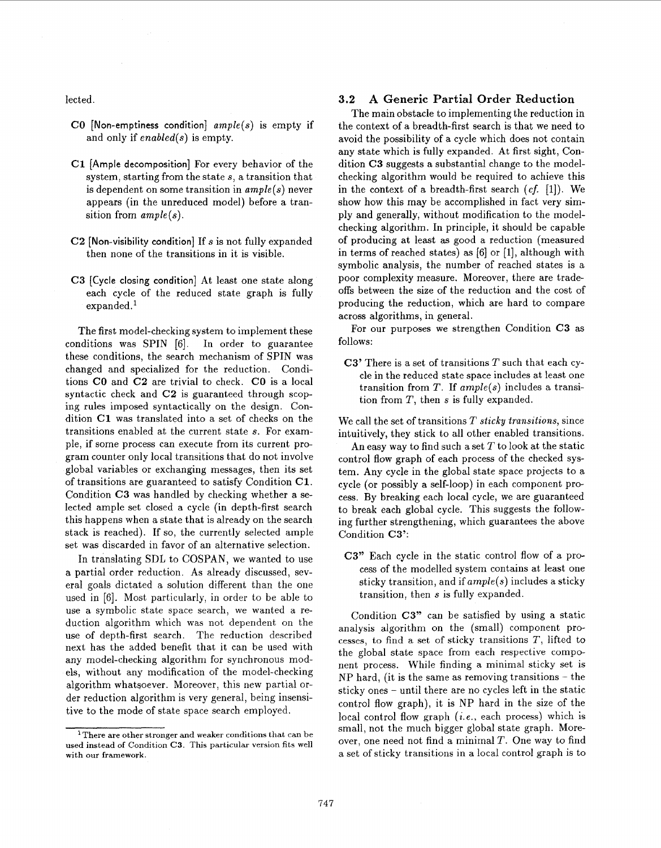lected.

- **CO [Non-emptiness condition]** *umple(s)* is empty if and only if *enabled(s)* is empty.
- **C1 [Ample decomposition]** For every behavior of the system, starting from the state s, a transition that is dependent on some transition in *umple(s)* never appears (in the unreduced model) before a transition from *ample(s).*
- **C2** [Non-visibility condition] If s is not fully expanded then none of the transitions in it is visible.
- **C3 [Cycle closing condition]** At least one state along each cycle of the reduced state graph is fully expanded.<sup>1</sup>

The first model-checking system to implement these conditions was SPIN [6]. In order to guarantee these conditions, the search mechanism of SPIN was changed and specialized for the reduction. Conditions **CO** and **C2** are trivial to check. *CO* is a local syntactic check and *C2* is guaranteed through scoping rules imposed syntactically on the design. Condition **C1** was translated into a set of checks on the transitions enabled at the current state *s.* For example, if some process can execute from its current program counter only local transitions that do not involve global variables or exchanging messages, then its set of transitions are guaranteed to satisfy Condition **C1.**  Condition **C3** was handled by checking whether a selected ample set closed a cycle (in depth-first search this happens when a state that is already on the search stack is reached). If so, the currently selected ample set was discarded in favor of an alternative selection.

In translating SDL to COSPAN, we wanted to use a partial order reduction. As already discussed, several goals dictated a solution different than the one used in [6]. Most particularly, in order to be able to use a symbolic state space search, we wanted a reduction algorithm which was not dependent on the use of depth-first search. The reduction described next has the added benefit that it can be used with any model-checking algorithm for synchronous models, without any modification of the model-checking algorithm whatsoever. Moreover, this new partial order reduction algorithm is very general, being insensitive to the mode of state space search employed.

# **3.2 A Generic Partial Order Reduction**

The main obstacle to implementing the reduction in the context of a breadth-first search is that we need to avoid the possibility of a cycle which does not contain any state which is fully expanded. At first sight, Condition **C3** suggests a substantial change to the modelchecking algorithm would be required to achieve this in the context of a breadth-first search *(cf* **[l]).** We show how this may be accomplished in fact very simply and generally, witlhout modification to the modelchecking algorithm. In principle, it should be capable of producing at least as good a reduction (measured in terms of reached states) as [6] or **[l],** although with symbolic analysis, the number of reached states is a poor complexity measure. Moreover, there are tradeoffs between the size of the reduction and the cost of producing the reduction, which are hard to compare across algorithms, in general.

For our purposes we streagthen Condition **C3** as follows:

**C3'** There is a set of transitions *T* such that each cycle in the reduced state space includes at least one transition from *T.* If *ample(s)* includes a transition from *T,* then *s* is fully expanded.

We call the set of transitions *T sticky transitions*, since intuitively, they stick to all other enabled transitions.

An easy way to find such a set  $T$  to look at the static control flow graph of each process of the checked system. Any cycle in the global state space projects to a cycle (or possibly a self-loop) in each component process. By breaking each local cycle, we are guaranteed to break each global cycle. This suggests the following further strengthening, which guarantees the above Condition **C3':** 

**C3"** Each cycle in the static control flow of a process of the modelled system contains at least one sticky transition, and if *ample(s)* includes a sticky transition, then *s* is fully expanded.

Condition **C3"** can be satisfied by using a static analysis algorithm on the (small) component processes, to find a set of sticky transitions *T,* lifted to the global state space from each respective component process. While finding a minimal sticky set is  $NP$  hard, (it is the same as removing transitions  $-$  the sticky ones - until there are no cycles left in the static control flow graph), it is NP hard in the size of the local control flow graph *(i.e.*, each process) which is small, not the much bigger global state graph. Moreover, one need not find a minimal *T.* One way to find a set of sticky transitions in a local control graph is to

**<sup>&#</sup>x27;There are other stronger and weaker conditions that can be used instead of Condition C3. This particular version fits well with our framework.**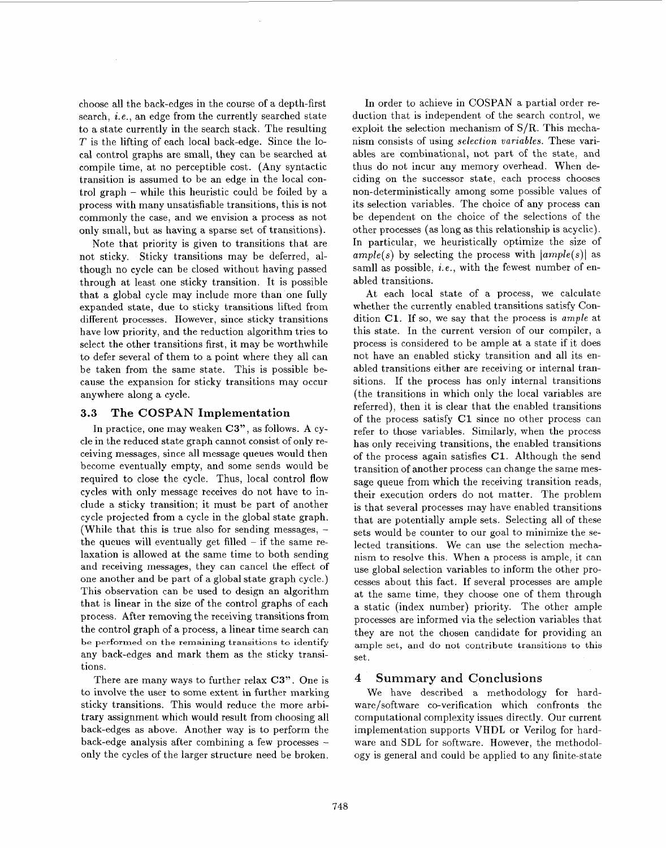choose all the back-edges in the course of a depth-first search, *i.e.*, an edge from the currently searched state to a state currently in the search stack. The resulting *T* is the lifting of each local back-edge. Since the local control graphs are small, they can be searched at compile time, at no perceptible cost. (Any syntactic transition is assumed to be an edge in the local control graph - while this heuristic could be foiled by a process with many unsatisfiable transitions, this is not commonly the case, and we envision a process as not only small, but as having a sparse set of transitions).

Note that priority is given to transitions that are not sticky. Sticky transitions may be deferred, although no cycle can be closed without having passed through at least one sticky transition. It is possible that a global cycle may include more than one fully expanded state, due to sticky transitions lifted from different processes. However, since sticky transitions have low priority, and the reduction algorithm tries to select the other transitions first, it may be worthwhile to defer several of them to a point where they all can be taken from the same state. This is possible because the expansion for sticky transitions may occur anywhere along a cycle.

## **3.3 The COSPAN Implementation**

In practice, one may weaken C3", as follows. A cycle in the reduced state graph cannot consist of only receiving messages, since all message queues would then become eventually empty, and some sends would be required to close the cycle. Thus, local control flow cycles with only message receives do not have to include a sticky transition; it must be part of another cycle projected from a cycle in the global state graph. (While that this is true also for sending messages,  $$ the queues will eventually get filled  $-$  if the same relaxation is allowed at the same time to both sending and receiving messages, they can cancel the effect of one another and be part of a global state graph cycle.) This observation can be used to design an algorithm that is linear in the size of the control graphs of each process. After removing the receiving transitions from the control graph of a process, a linear time search can be performed on the remaining transitions to identify any back-edges and mark them as the sticky transitions.

There are many ways to further relax C3". One is to involve the user to some extent in further marking sticky transitions. This would reduce the more arbitrary assignment which would result from choosing all back-edges as above. Another way is to perform the back-edge analysis after combining a few processes only the cycles of the larger structure need be broken.

In order to achieve in COSPAN a partial order reduction that is independent of the search control, we exploit the selection mechanism of S/R. This mechanism consists of using *selection variables*. These variables are combinational, not part of the state, and thus do not incur any memory overhead. When deciding on the successor state, each process chooses non-deterministically among some possible values of its selection variables. The choice of any process can be dependent on the choice of the selections of the other processes (as long as this relationship is acyclic). In particular, we heuristically optimize the size of *ample(s)* by selecting the process with *lample(s)l* as samll as possible, *i.e.*, with the fewest number of enabled transitions.

At each local state of a process, we calculate whether the currently enabled transitions satisfy Condition C1. If so, we say that the process is *ample* at this state. In the current version of our compiler, a process is considered to be ample at a state if it does not have an enabled sticky transition and all its enabled transitions either are receiving or internal transitions. If the process has only internal transitions (the transitions in which only the local variables are referred), then it is clear that the enabled transitions of the process satisfy C1 since no other process can refer to those variables. Similarly, when the process has only receiving transitions, the enabled transitions of the process again satisfies C1. Although the send transition of another process can change the same message queue from which the receiving transition reads, their execution orders do not matter. The problem is that several processes may have enabled transitions that are potentially ample sets. Selecting all of these sets would be counter to our goal to minimize the selected transitions. We can use the selection mechanism to resolve this. When a process is ample, it can use global selection variables to inform the other processes about this fact. If several processes are ample at the same time, they choose one of them through a static (index number) priority. The other ample processes are informed via the selection variables that they are not the chosen candidate for providing an set. ample set, and do not contribute transitions to this

## **4** Summary and Conclusions

We have described a methodology for hardware/software co-verification which confronts the computational complexity issues directly. Our current implementation supports VHDL or Verilog for hardware and SDL for software. However, the methodology is general and couid be applied to any finite-state